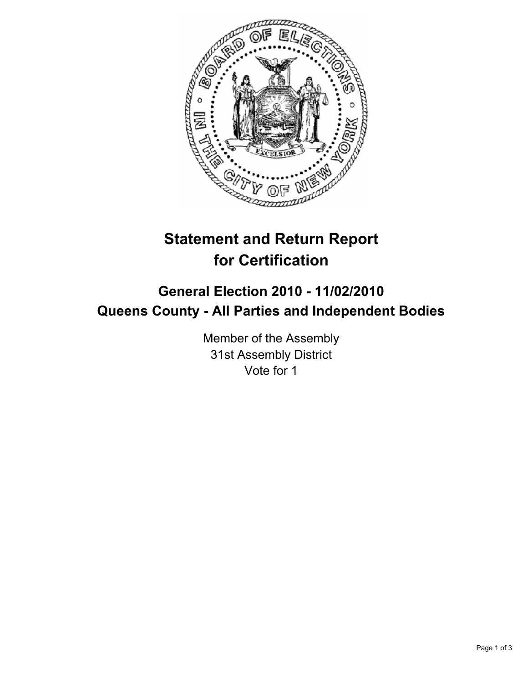

## **Statement and Return Report for Certification**

## **General Election 2010 - 11/02/2010 Queens County - All Parties and Independent Bodies**

Member of the Assembly 31st Assembly District Vote for 1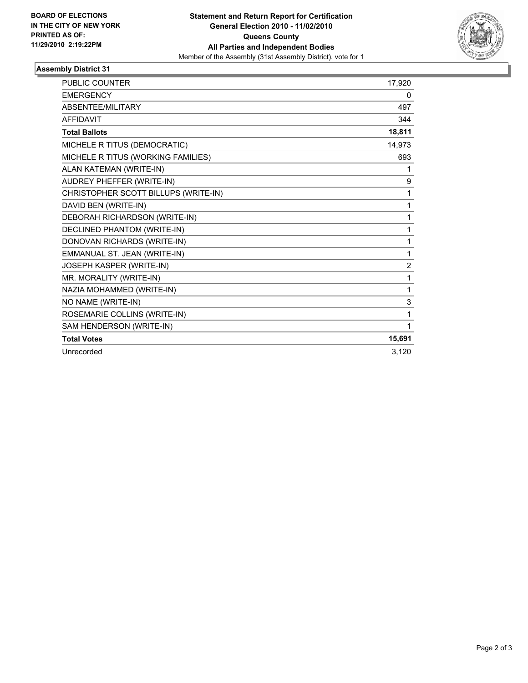

## **Assembly District 31**

| <b>PUBLIC COUNTER</b>                | 17,920         |
|--------------------------------------|----------------|
| <b>EMERGENCY</b>                     | 0              |
| ABSENTEE/MILITARY                    | 497            |
| <b>AFFIDAVIT</b>                     | 344            |
| <b>Total Ballots</b>                 | 18,811         |
| MICHELE R TITUS (DEMOCRATIC)         | 14,973         |
| MICHELE R TITUS (WORKING FAMILIES)   | 693            |
| ALAN KATEMAN (WRITE-IN)              | 1              |
| AUDREY PHEFFER (WRITE-IN)            | 9              |
| CHRISTOPHER SCOTT BILLUPS (WRITE-IN) | 1              |
| DAVID BEN (WRITE-IN)                 | 1              |
| DEBORAH RICHARDSON (WRITE-IN)        | 1              |
| DECLINED PHANTOM (WRITE-IN)          | 1              |
| DONOVAN RICHARDS (WRITE-IN)          | 1              |
| EMMANUAL ST. JEAN (WRITE-IN)         | 1              |
| JOSEPH KASPER (WRITE-IN)             | $\overline{2}$ |
| MR. MORALITY (WRITE-IN)              | 1              |
| NAZIA MOHAMMED (WRITE-IN)            | 1              |
| NO NAME (WRITE-IN)                   | 3              |
| ROSEMARIE COLLINS (WRITE-IN)         | 1              |
| SAM HENDERSON (WRITE-IN)             | 1              |
| <b>Total Votes</b>                   | 15,691         |
| Unrecorded                           | 3,120          |